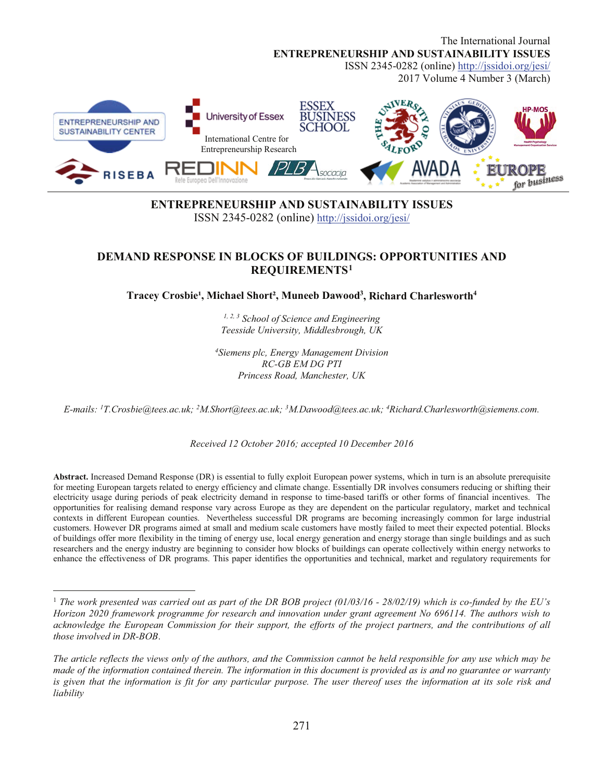The International Journal **ENTREPRENEURSHIP AND SUSTAINABILITY ISSUES** ISSN 2345-0282 (online) http://jssidoi.org/jesi/ 2017 Volume 4 Number 3 (March) JSINESS iversity of Essex **ENTREPRENEURSHIP AND** HOOL SUSTAINABILITY CENTER International Centre for Entrepreneurship Research avad **ISEBA** for business

## **ENTREPRENEURSHIP AND SUSTAINABILITY ISSUES** ISSN 2345-0282 (online) http://issidoi.org/jesi/

## **DEMAND RESPONSE IN BLOCKS OF BUILDINGS: OPPORTUNITIES AND REQUIREMENTS1**

Tracey Crosbie<sup>1</sup>, Michael Short<sup>2</sup>, Muneeb Dawood<sup>3</sup>, Richard Charlesworth<sup>4</sup>

 $1, 2, 3$  School of Science and Engineering Teesside University, Middlesbrough, UK

<sup>4</sup>Siemens plc, Energy Management Division **RC-GB EM DG PTI** Princess Road, Manchester, UK

E-mails: <sup>1</sup>T.Crosbie@tees.ac.uk; <sup>2</sup>M.Short@tees.ac.uk; <sup>3</sup>M.Dawood@tees.ac.uk; <sup>4</sup>Richard.Charlesworth@siemens.com.

Received 12 October 2016; accepted 10 December 2016

Abstract. Increased Demand Response (DR) is essential to fully exploit European power systems, which in turn is an absolute prerequisite for meeting European targets related to energy efficiency and climate change. Essentially DR involves consumers reducing or shifting their electricity usage during periods of peak electricity demand in response to time-based tariffs or other forms of financial incentives. The opportunities for realising demand response vary across Europe as they are dependent on the particular regulatory, market and technical contexts in different European counties. Nevertheless successful DR programs are becoming increasingly common for large industrial customers. However DR programs aimed at small and medium scale customers have mostly failed to meet their expected potential. Blocks of buildings offer more flexibility in the timing of energy use, local energy generation and energy storage than single buildings and as such researchers and the energy industry are beginning to consider how blocks of buildings can operate collectively within energy networks to enhance the effectiveness of DR programs. This paper identifies the opportunities and technical, market and regulatory requirements for

<span id="page-0-0"></span><sup>&</sup>lt;sup>1</sup> The work presented was carried out as part of the DR BOB project (01/03/16 - 28/02/19) which is co-funded by the EU's Horizon 2020 framework programme for research and innovation under grant agreement No 696114. The authors wish to acknowledge the European Commission for their support, the efforts of the project partners, and the contributions of all those involved in DR-BOB.

The article reflects the views only of the authors, and the Commission cannot be held responsible for any use which may be made of the information contained therein. The information in this document is provided as is and no guarantee or warranty is given that the information is fit for any particular purpose. The user thereof uses the information at its sole risk and liability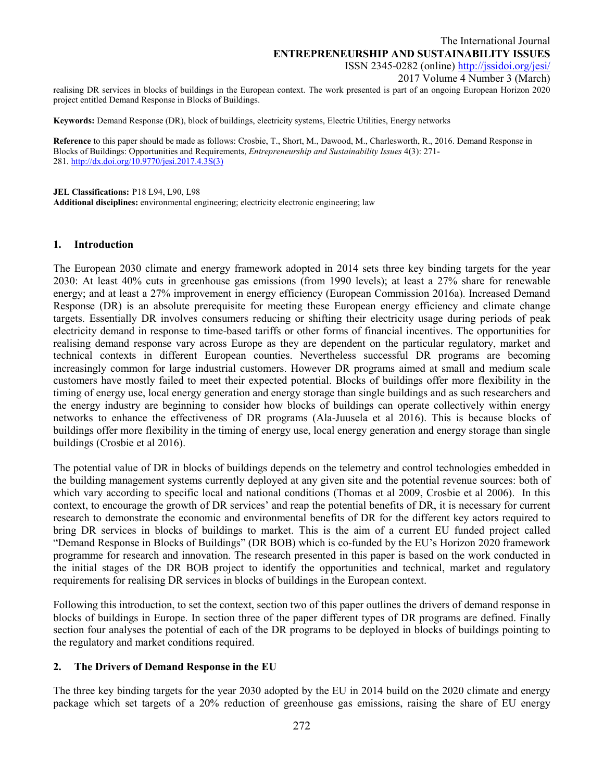2017 Volume 4 Number 3 (March)

realising DR services in blocks of buildings in the European context. The work presented is part of an ongoing European Horizon 2020 project entitled Demand Response in Blocks of Buildings.

**Keywords:** Demand Response (DR), block of buildings, electricity systems, Electric Utilities, Energy networks

**Reference** to this paper should be made as follows: Crosbie, T., Short, M., Dawood, M., Charlesworth, R., 2016. Demand Response in Blocks of Buildings: Opportunities and Requirements, *Entrepreneurship and Sustainability Issues* 4(3): 271- 281. [http://dx.doi.org/10.9770/jesi.2017.4.3S\(3\)](http://dx.doi.org/10.9770/jesi.2017.4.3S(3))

**JEL Classifications:** P18 L94, L90, L98

**Additional disciplines:** environmental engineering; electricity electronic engineering; law

### **1. Introduction**

The European 2030 climate and energy framework adopted in 2014 sets three key binding targets for the year 2030: At least 40% cuts in greenhouse gas emissions (from 1990 levels); at least a 27% share for renewable energy; and at least a 27% improvement in energy efficiency (European Commission 2016a). Increased Demand Response (DR) is an absolute prerequisite for meeting these European energy efficiency and climate change targets. Essentially DR involves consumers reducing or shifting their electricity usage during periods of peak electricity demand in response to time-based tariffs or other forms of financial incentives. The opportunities for realising demand response vary across Europe as they are dependent on the particular regulatory, market and technical contexts in different European counties. Nevertheless successful DR programs are becoming increasingly common for large industrial customers. However DR programs aimed at small and medium scale customers have mostly failed to meet their expected potential. Blocks of buildings offer more flexibility in the timing of energy use, local energy generation and energy storage than single buildings and as such researchers and the energy industry are beginning to consider how blocks of buildings can operate collectively within energy networks to enhance the effectiveness of DR programs (Ala-Juusela et al 2016). This is because blocks of buildings offer more flexibility in the timing of energy use, local energy generation and energy storage than single buildings (Crosbie et al 2016).

The potential value of DR in blocks of buildings depends on the telemetry and control technologies embedded in the building management systems currently deployed at any given site and the potential revenue sources: both of which vary according to specific local and national conditions (Thomas et al 2009, Crosbie et al 2006). In this context, to encourage the growth of DR services' and reap the potential benefits of DR, it is necessary for current research to demonstrate the economic and environmental benefits of DR for the different key actors required to bring DR services in blocks of buildings to market. This is the aim of a current EU funded project called "Demand Response in Blocks of Buildings" (DR BOB) which is co-funded by the EU's Horizon 2020 framework programme for research and innovation. The research presented in this paper is based on the work conducted in the initial stages of the DR BOB project to identify the opportunities and technical, market and regulatory requirements for realising DR services in blocks of buildings in the European context.

Following this introduction, to set the context, section two of this paper outlines the drivers of demand response in blocks of buildings in Europe. In section three of the paper different types of DR programs are defined. Finally section four analyses the potential of each of the DR programs to be deployed in blocks of buildings pointing to the regulatory and market conditions required.

### **2. The Drivers of Demand Response in the EU**

The three key binding targets for the year 2030 adopted by the EU in 2014 build on the [2020 climate and energy](http://ec.europa.eu/clima/policies/strategies/2020/index_en.htm)  [package](http://ec.europa.eu/clima/policies/strategies/2020/index_en.htm) which set targets of a 20% reduction of greenhouse gas emissions, raising the share of EU energy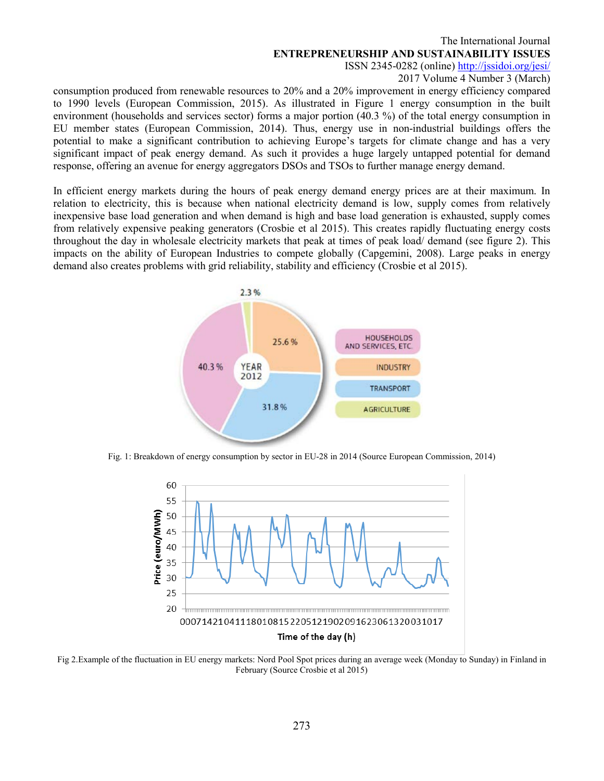2017 Volume 4 Number 3 (March)

consumption produced from renewable resources to 20% and a 20% improvement in energy efficiency compared to 1990 levels (European Commission, 2015). As illustrated in Figure 1 energy consumption in the built environment (households and services sector) forms a major portion (40.3 %) of the total energy consumption in EU member states (European Commission, 2014). Thus, energy use in non-industrial buildings offers the potential to make a significant contribution to achieving Europe's targets for climate change and has a very significant impact of peak energy demand. As such it provides a huge largely untapped potential for demand response, offering an avenue for energy aggregators DSOs and TSOs to further manage energy demand.

In efficient energy markets during the hours of peak energy demand energy prices are at their maximum. In relation to electricity, this is because when national electricity demand is low, supply comes from relatively inexpensive base load generation and when demand is high and base load generation is exhausted, supply comes from relatively expensive peaking generators (Crosbie et al 2015). This creates rapidly fluctuating energy costs throughout the day in wholesale electricity markets that peak at times of peak load/ demand (see figure 2). This impacts on the ability of European Industries to compete globally (Capgemini, 2008). Large peaks in energy demand also creates problems with grid reliability, stability and efficiency (Crosbie et al 2015).



Fig. 1: Breakdown of energy consumption by sector in EU-28 in 2014 (Source European Commission, 2014)



Fig 2.Example of the fluctuation in EU energy markets: Nord Pool Spot prices during an average week (Monday to Sunday) in Finland in February (Source Crosbie et al 2015)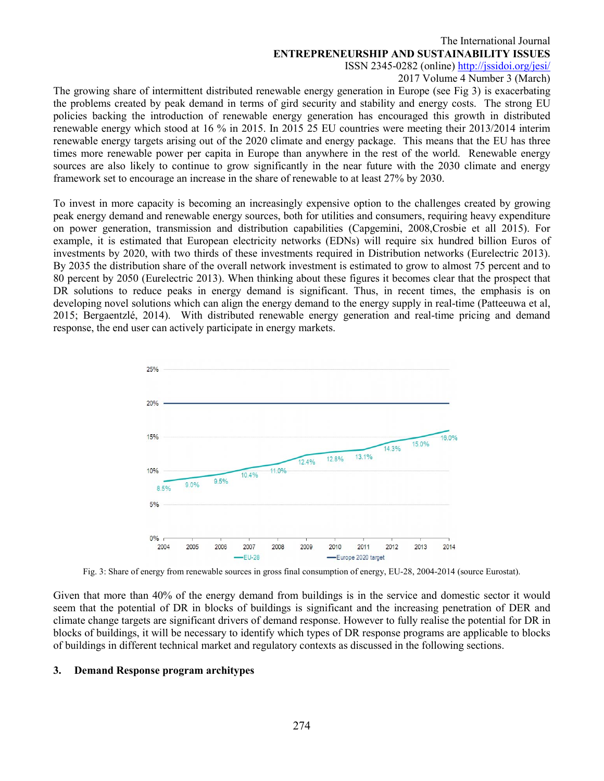2017 Volume 4 Number 3 (March)

The growing share of intermittent distributed renewable energy generation in Europe (see Fig 3) is exacerbating the problems created by peak demand in terms of gird security and stability and energy costs. The strong EU policies backing the introduction of renewable energy generation has encouraged this growth in distributed renewable energy which stood at 16 % in 2015. In 2015 25 EU countries were meeting their 2013/2014 interim renewable energy targets arising out of the [2020 climate and energy package.](http://ec.europa.eu/clima/policies/strategies/2020/index_en.htm) This means that the EU has three times more renewable power per capita in Europe than anywhere in the rest of the world. Renewable energy sources are also likely to continue to grow significantly in the near future with the 2030 climate and energy framework set to encourage an increase in the share of renewable to at least 27% by 2030.

To invest in more capacity is becoming an increasingly expensive option to the challenges created by growing peak energy demand and renewable energy sources, both for utilities and consumers, requiring heavy expenditure on power generation, transmission and distribution capabilities (Capgemini, 2008,Crosbie et all 2015). For example, it is estimated that European electricity networks (EDNs) will require six hundred billion Euros of investments by 2020, with two thirds of these investments required in Distribution networks (Eurelectric 2013). By 2035 the distribution share of the overall network investment is estimated to grow to almost 75 percent and to 80 percent by 2050 (Eurelectric 2013). When thinking about these figures it becomes clear that the prospect that DR solutions to reduce peaks in energy demand is significant. Thus, in recent times, the emphasis is on developing novel solutions which can align the energy demand to the energy supply in real-time (Patteeuwa et al, 2015; Bergaentzlé, 2014). With distributed renewable energy generation and real-time pricing and demand response, the end user can actively participate in energy markets.



Fig. 3: Share of energy from renewable sources in gross final consumption of energy, EU-28, 2004-2014 (source Eurostat).

Given that more than 40% of the energy demand from buildings is in the service and domestic sector it would seem that the potential of DR in blocks of buildings is significant and the increasing penetration of DER and climate change targets are significant drivers of demand response. However to fully realise the potential for DR in blocks of buildings, it will be necessary to identify which types of DR response programs are applicable to blocks of buildings in different technical market and regulatory contexts as discussed in the following sections.

## **3. Demand Response program architypes**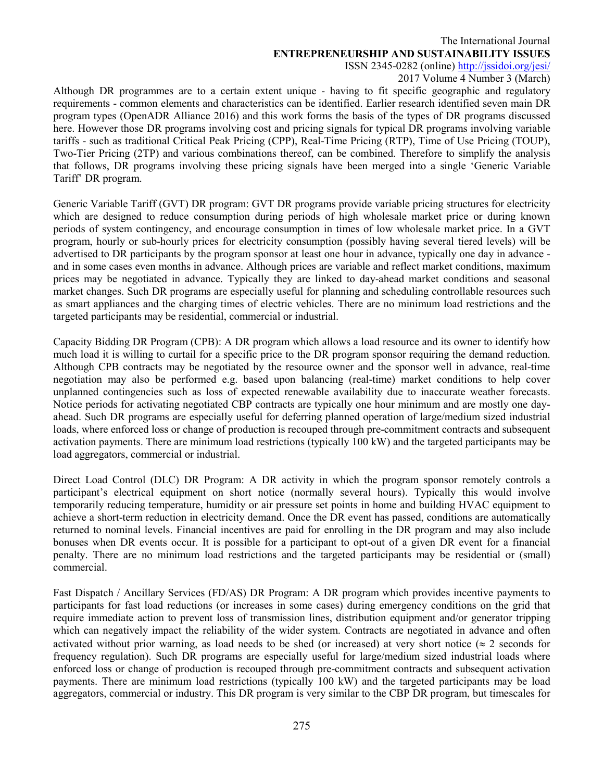# The International Journal **ENTREPRENEURSHIP AND SUSTAINABILITY ISSUES**

ISSN 2345-0282 (online)<http://jssidoi.org/jesi/>

2017 Volume 4 Number 3 (March)

Although DR programmes are to a certain extent unique - having to fit specific geographic and regulatory requirements - common elements and characteristics can be identified. Earlier research identified seven main DR program types (OpenADR Alliance 2016) and this work forms the basis of the types of DR programs discussed here. However those DR programs involving cost and pricing signals for typical DR programs involving variable tariffs - such as traditional Critical Peak Pricing (CPP), Real-Time Pricing (RTP), Time of Use Pricing (TOUP), Two-Tier Pricing (2TP) and various combinations thereof, can be combined. Therefore to simplify the analysis that follows, DR programs involving these pricing signals have been merged into a single 'Generic Variable Tariff' DR program.

Generic Variable Tariff (GVT) DR program: GVT DR programs provide variable pricing structures for electricity which are designed to reduce consumption during periods of high wholesale market price or during known periods of system contingency, and encourage consumption in times of low wholesale market price. In a GVT program, hourly or sub-hourly prices for electricity consumption (possibly having several tiered levels) will be advertised to DR participants by the program sponsor at least one hour in advance, typically one day in advance and in some cases even months in advance. Although prices are variable and reflect market conditions, maximum prices may be negotiated in advance. Typically they are linked to day-ahead market conditions and seasonal market changes. Such DR programs are especially useful for planning and scheduling controllable resources such as smart appliances and the charging times of electric vehicles. There are no minimum load restrictions and the targeted participants may be residential, commercial or industrial.

Capacity Bidding DR Program (CPB): A DR program which allows a load resource and its owner to identify how much load it is willing to curtail for a specific price to the DR program sponsor requiring the demand reduction. Although CPB contracts may be negotiated by the resource owner and the sponsor well in advance, real-time negotiation may also be performed e.g. based upon balancing (real-time) market conditions to help cover unplanned contingencies such as loss of expected renewable availability due to inaccurate weather forecasts. Notice periods for activating negotiated CBP contracts are typically one hour minimum and are mostly one dayahead. Such DR programs are especially useful for deferring planned operation of large/medium sized industrial loads, where enforced loss or change of production is recouped through pre-commitment contracts and subsequent activation payments. There are minimum load restrictions (typically 100 kW) and the targeted participants may be load aggregators, commercial or industrial.

Direct Load Control (DLC) DR Program: A DR activity in which the program sponsor remotely controls a participant's electrical equipment on short notice (normally several hours). Typically this would involve temporarily reducing temperature, humidity or air pressure set points in home and building HVAC equipment to achieve a short-term reduction in electricity demand. Once the DR event has passed, conditions are automatically returned to nominal levels. Financial incentives are paid for enrolling in the DR program and may also include bonuses when DR events occur. It is possible for a participant to opt-out of a given DR event for a financial penalty. There are no minimum load restrictions and the targeted participants may be residential or (small) commercial.

Fast Dispatch / Ancillary Services (FD/AS) DR Program: A DR program which provides incentive payments to participants for fast load reductions (or increases in some cases) during emergency conditions on the grid that require immediate action to prevent loss of transmission lines, distribution equipment and/or generator tripping which can negatively impact the reliability of the wider system. Contracts are negotiated in advance and often activated without prior warning, as load needs to be shed (or increased) at very short notice ( $\approx$  2 seconds for frequency regulation). Such DR programs are especially useful for large/medium sized industrial loads where enforced loss or change of production is recouped through pre-commitment contracts and subsequent activation payments. There are minimum load restrictions (typically 100 kW) and the targeted participants may be load aggregators, commercial or industry. This DR program is very similar to the CBP DR program, but timescales for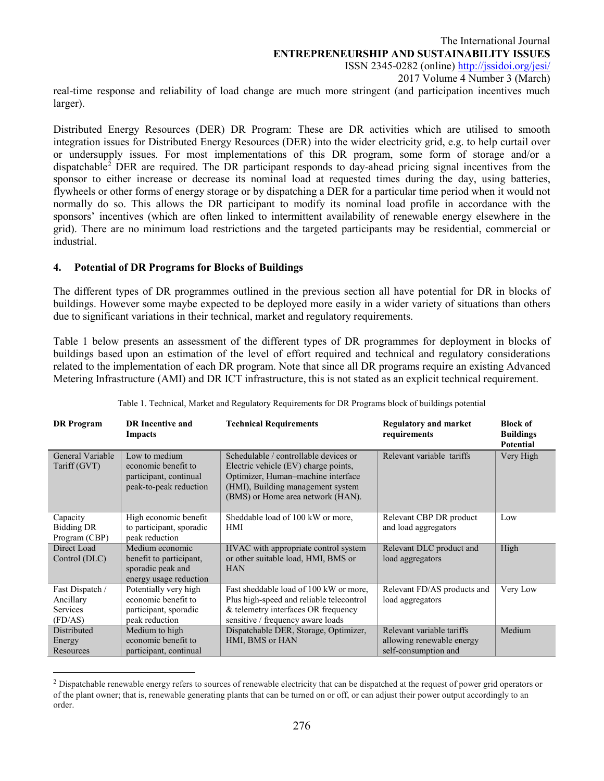The International Journal **ENTREPRENEURSHIP AND SUSTAINABILITY ISSUES** ISSN 2345-0282 (online)<http://jssidoi.org/jesi/> 2017 Volume 4 Number 3 (March) real-time response and reliability of load change are much more stringent (and participation incentives much

Distributed Energy Resources (DER) DR Program: These are DR activities which are utilised to smooth integration issues for Distributed Energy Resources (DER) into the wider electricity grid, e.g. to help curtail over or undersupply issues. For most implementations of this DR program, some form of storage and/or a dispatchabl[e2](#page-5-0) DER are required. The DR participant responds to day-ahead pricing signal incentives from the sponsor to either increase or decrease its nominal load at requested times during the day, using batteries, flywheels or other forms of energy storage or by dispatching a DER for a particular time period when it would not normally do so. This allows the DR participant to modify its nominal load profile in accordance with the sponsors' incentives (which are often linked to intermittent availability of renewable energy elsewhere in the grid). There are no minimum load restrictions and the targeted participants may be residential, commercial or industrial.

## **4. Potential of DR Programs for Blocks of Buildings**

larger).

 $\overline{a}$ 

The different types of DR programmes outlined in the previous section all have potential for DR in blocks of buildings. However some maybe expected to be deployed more easily in a wider variety of situations than others due to significant variations in their technical, market and regulatory requirements.

Table 1 below presents an assessment of the different types of DR programmes for deployment in blocks of buildings based upon an estimation of the level of effort required and technical and regulatory considerations related to the implementation of each DR program. Note that since all DR programs require an existing Advanced Metering Infrastructure (AMI) and DR ICT infrastructure, this is not stated as an explicit technical requirement.

| <b>DR</b> Program                              | <b>DR</b> Incentive and<br>Impacts                                                        | <b>Technical Requirements</b>                                                                                                                                                                 | <b>Regulatory and market</b><br>requirements                                   | <b>Block of</b><br><b>Buildings</b><br><b>Potential</b> |
|------------------------------------------------|-------------------------------------------------------------------------------------------|-----------------------------------------------------------------------------------------------------------------------------------------------------------------------------------------------|--------------------------------------------------------------------------------|---------------------------------------------------------|
| General Variable<br>Tariff (GVT)               | Low to medium<br>economic benefit to<br>participant, continual<br>peak-to-peak reduction  | Schedulable / controllable devices or<br>Electric vehicle (EV) charge points,<br>Optimizer, Human-machine interface<br>(HMI), Building management system<br>(BMS) or Home area network (HAN). | Relevant variable tariffs                                                      | Very High                                               |
| Capacity<br><b>Bidding DR</b><br>Program (CBP) | High economic benefit<br>to participant, sporadic<br>peak reduction                       | Sheddable load of 100 kW or more,<br>HMI                                                                                                                                                      | Relevant CBP DR product<br>and load aggregators                                | Low                                                     |
| Direct Load<br>Control (DLC)                   | Medium economic<br>benefit to participant,<br>sporadic peak and<br>energy usage reduction | HVAC with appropriate control system<br>or other suitable load, HMI, BMS or<br><b>HAN</b>                                                                                                     | Relevant DLC product and<br>load aggregators                                   | High                                                    |
| Fast Dispatch /<br>Ancillary                   | Potentially very high<br>economic benefit to                                              | Fast sheddable load of 100 kW or more,<br>Plus high-speed and reliable telecontrol                                                                                                            | Relevant FD/AS products and<br>load aggregators                                | Very Low                                                |
| <b>Services</b><br>(FD/AS)                     | participant, sporadic<br>peak reduction                                                   | & telemetry interfaces OR frequency<br>sensitive / frequency aware loads                                                                                                                      |                                                                                |                                                         |
| Distributed<br>Energy<br>Resources             | Medium to high<br>economic benefit to<br>participant, continual                           | Dispatchable DER, Storage, Optimizer,<br>HMI, BMS or HAN                                                                                                                                      | Relevant variable tariffs<br>allowing renewable energy<br>self-consumption and | Medium                                                  |

Table 1. Technical, Market and Regulatory Requirements for DR Programs block of buildings potential

<span id="page-5-0"></span><sup>&</sup>lt;sup>2</sup> Dispatchable renewable energy refers to sources of renewable electricity that can be dispatched at the request of power grid operators or of the plant owner; that is, renewable generating plants that can be turned on or off, or can adjust their power output accordingly to an order.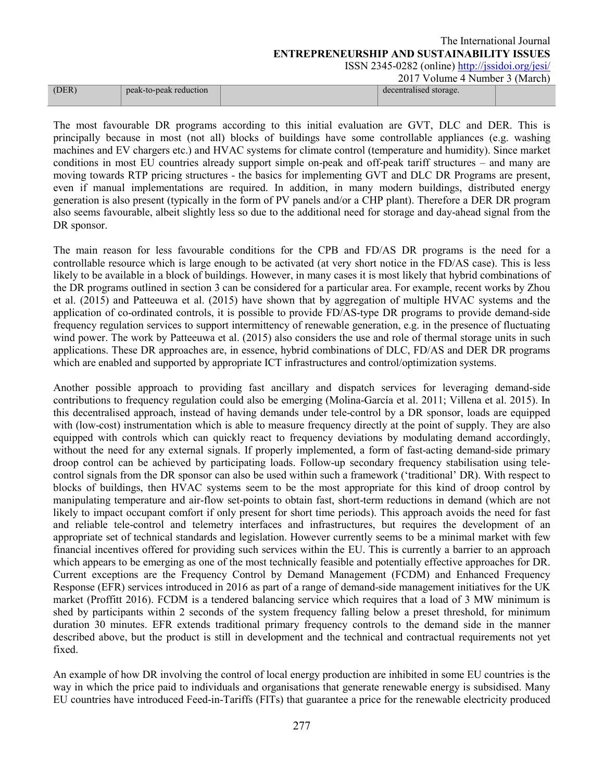2017 Volume 4 Number 3 (March)

|       |                        | $2017$ volume required between |  |
|-------|------------------------|--------------------------------|--|
| (DER) | peak-to-peak reduction | decentralised storage.         |  |
|       |                        |                                |  |

The most favourable DR programs according to this initial evaluation are GVT, DLC and DER. This is principally because in most (not all) blocks of buildings have some controllable appliances (e.g. washing machines and EV chargers etc.) and HVAC systems for climate control (temperature and humidity). Since market conditions in most EU countries already support simple on-peak and off-peak tariff structures – and many are moving towards RTP pricing structures - the basics for implementing GVT and DLC DR Programs are present, even if manual implementations are required. In addition, in many modern buildings, distributed energy generation is also present (typically in the form of PV panels and/or a CHP plant). Therefore a DER DR program also seems favourable, albeit slightly less so due to the additional need for storage and day-ahead signal from the DR sponsor.

The main reason for less favourable conditions for the CPB and FD/AS DR programs is the need for a controllable resource which is large enough to be activated (at very short notice in the FD/AS case). This is less likely to be available in a block of buildings. However, in many cases it is most likely that hybrid combinations of the DR programs outlined in section 3 can be considered for a particular area. For example, recent works by Zhou et al. (2015) and Patteeuwa et al. (2015) have shown that by aggregation of multiple HVAC systems and the application of co-ordinated controls, it is possible to provide FD/AS-type DR programs to provide demand-side frequency regulation services to support intermittency of renewable generation, e.g. in the presence of fluctuating wind power. The work by Patteeuwa et al. (2015) also considers the use and role of thermal storage units in such applications. These DR approaches are, in essence, hybrid combinations of DLC, FD/AS and DER DR programs which are enabled and supported by appropriate ICT infrastructures and control/optimization systems.

Another possible approach to providing fast ancillary and dispatch services for leveraging demand-side contributions to frequency regulation could also be emerging (Molina-García et al. 2011; Villena et al. 2015). In this decentralised approach, instead of having demands under tele-control by a DR sponsor, loads are equipped with (low-cost) instrumentation which is able to measure frequency directly at the point of supply. They are also equipped with controls which can quickly react to frequency deviations by modulating demand accordingly, without the need for any external signals. If properly implemented, a form of fast-acting demand-side primary droop control can be achieved by participating loads. Follow-up secondary frequency stabilisation using telecontrol signals from the DR sponsor can also be used within such a framework ('traditional' DR). With respect to blocks of buildings, then HVAC systems seem to be the most appropriate for this kind of droop control by manipulating temperature and air-flow set-points to obtain fast, short-term reductions in demand (which are not likely to impact occupant comfort if only present for short time periods). This approach avoids the need for fast and reliable tele-control and telemetry interfaces and infrastructures, but requires the development of an appropriate set of technical standards and legislation. However currently seems to be a minimal market with few financial incentives offered for providing such services within the EU. This is currently a barrier to an approach which appears to be emerging as one of the most technically feasible and potentially effective approaches for DR. Current exceptions are the Frequency Control by Demand Management (FCDM) and Enhanced Frequency Response (EFR) services introduced in 2016 as part of a range of demand-side management initiatives for the UK market (Proffitt 2016). FCDM is a tendered balancing service which requires that a load of 3 MW minimum is shed by participants within 2 seconds of the system frequency falling below a preset threshold, for minimum duration 30 minutes. EFR extends traditional primary frequency controls to the demand side in the manner described above, but the product is still in development and the technical and contractual requirements not yet fixed.

An example of how DR involving the control of local energy production are inhibited in some EU countries is the way in which the price paid to individuals and organisations that generate renewable energy is subsidised. Many EU countries have introduced Feed-in-Tariffs (FITs) that guarantee a price for the renewable electricity produced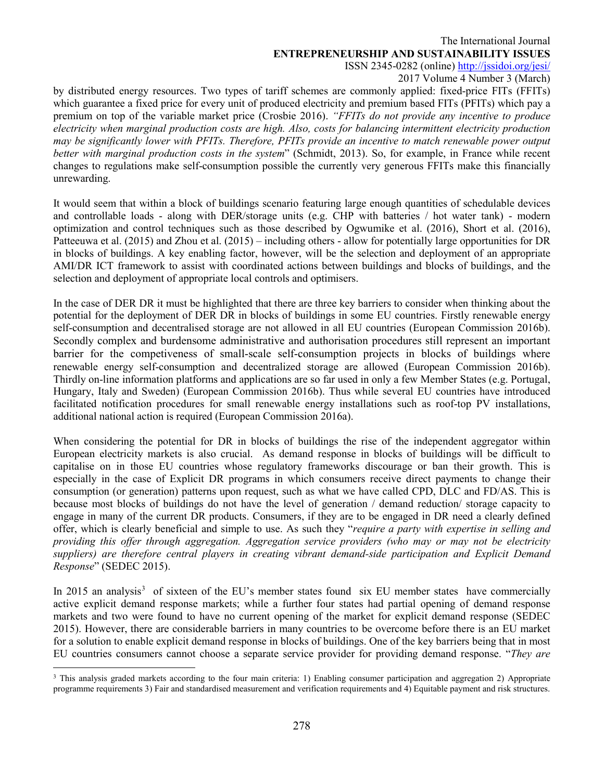## The International Journal **ENTREPRENEURSHIP AND SUSTAINABILITY ISSUES**

ISSN 2345-0282 (online)<http://jssidoi.org/jesi/>

2017 Volume 4 Number 3 (March)

by distributed energy resources. Two types of tariff schemes are commonly applied: fixed-price FITs (FFITs) which guarantee a fixed price for every unit of produced electricity and premium based FITs (PFITs) which pay a premium on top of the variable market price (Crosbie 2016). *"FFITs do not provide any incentive to produce electricity when marginal production costs are high. Also, costs for balancing intermittent electricity production may be significantly lower with PFITs. Therefore, PFITs provide an incentive to match renewable power output better with marginal production costs in the system*" (Schmidt, 2013). So, for example, in France while recent changes to regulations make self-consumption possible the currently very generous FFITs make this financially unrewarding.

It would seem that within a block of buildings scenario featuring large enough quantities of schedulable devices and controllable loads - along with DER/storage units (e.g. CHP with batteries / hot water tank) - modern optimization and control techniques such as those described by Ogwumike et al. (2016), Short et al. (2016), Patteeuwa et al. (2015) and Zhou et al. (2015) – including others - allow for potentially large opportunities for DR in blocks of buildings. A key enabling factor, however, will be the selection and deployment of an appropriate AMI/DR ICT framework to assist with coordinated actions between buildings and blocks of buildings, and the selection and deployment of appropriate local controls and optimisers.

In the case of DER DR it must be highlighted that there are three key barriers to consider when thinking about the potential for the deployment of DER DR in blocks of buildings in some EU countries. Firstly renewable energy self-consumption and decentralised storage are not allowed in all EU countries (European Commission 2016b). Secondly complex and burdensome administrative and authorisation procedures still represent an important barrier for the competiveness of small-scale self-consumption projects in blocks of buildings where renewable energy self-consumption and decentralized storage are allowed (European Commission 2016b). Thirdly on-line information platforms and applications are so far used in only a few Member States (e.g. Portugal, Hungary, Italy and Sweden) (European Commission 2016b). Thus while several EU countries have introduced facilitated notification procedures for small renewable energy installations such as roof-top PV installations, additional national action is required (European Commission 2016a).

When considering the potential for DR in blocks of buildings the rise of the independent aggregator within European electricity markets is also crucial. As demand response in blocks of buildings will be difficult to capitalise on in those EU countries whose regulatory frameworks discourage or ban their growth. This is especially in the case of Explicit DR programs in which consumers receive direct payments to change their consumption (or generation) patterns upon request, such as what we have called CPD, DLC and FD/AS. This is because most blocks of buildings do not have the level of generation / demand reduction/ storage capacity to engage in many of the current DR products. Consumers, if they are to be engaged in DR need a clearly defined offer, which is clearly beneficial and simple to use. As such they "*require a party with expertise in selling and providing this offer through aggregation. Aggregation service providers (who may or may not be electricity suppliers) are therefore central players in creating vibrant demand-side participation and Explicit Demand Response*" (SEDEC 2015).

In 2015 an analysis<sup>[3](#page-7-0)</sup> of sixteen of the EU's member states found six EU member states have commercially active explicit demand response markets; while a further four states had partial opening of demand response markets and two were found to have no current opening of the market for explicit demand response (SEDEC 2015). However, there are considerable barriers in many countries to be overcome before there is an EU market for a solution to enable explicit demand response in blocks of buildings. One of the key barriers being that in most EU countries consumers cannot choose a separate service provider for providing demand response. "*They are* 

 $\overline{a}$ 

<span id="page-7-0"></span><sup>&</sup>lt;sup>3</sup> This analysis graded markets according to the four main criteria: 1) Enabling consumer participation and aggregation 2) Appropriate programme requirements 3) Fair and standardised measurement and verification requirements and 4) Equitable payment and risk structures.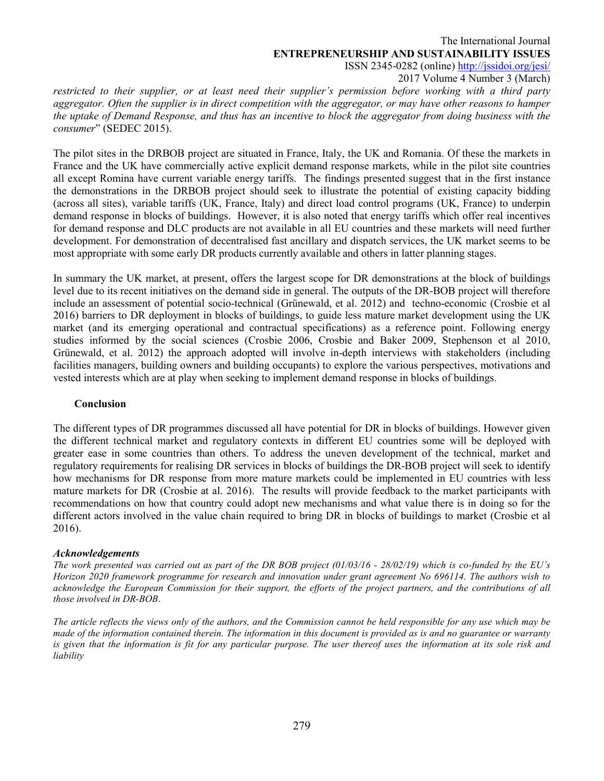2017 Volume 4 Number 3 (March)

*restricted to their supplier, or at least need their supplier's permission before working with a third party aggregator. Often the supplier is in direct competition with the aggregator, or may have other reasons to hamper the uptake of Demand Response, and thus has an incentive to block the aggregator from doing business with the consumer*" (SEDEC 2015).

The pilot sites in the DRBOB project are situated in France, Italy, the UK and Romania. Of these the markets in France and the UK have commercially active explicit demand response markets, while in the pilot site countries all except Romina have current variable energy tariffs. The findings presented suggest that in the first instance the demonstrations in the DRBOB project should seek to illustrate the potential of existing capacity bidding (across all sites), variable tariffs (UK, France, Italy) and direct load control programs (UK, France) to underpin demand response in blocks of buildings. However, it is also noted that energy tariffs which offer real incentives for demand response and DLC products are not available in all EU countries and these markets will need further development. For demonstration of decentralised fast ancillary and dispatch services, the UK market seems to be most appropriate with some early DR products currently available and others in latter planning stages.

In summary the UK market, at present, offers the largest scope for DR demonstrations at the block of buildings level due to its recent initiatives on the demand side in general. The outputs of the DR-BOB project will therefore include an assessment of potential socio-technical (Grünewald, et al. 2012) and techno-economic (Crosbie et al 2016) barriers to DR deployment in blocks of buildings, to guide less mature market development using the UK market (and its emerging operational and contractual specifications) as a reference point. Following energy studies informed by the social sciences (Crosbie 2006, Crosbie and Baker 2009, Stephenson et al 2010, Grünewald, et al. 2012) the approach adopted will involve in-depth interviews with stakeholders (including facilities managers, building owners and building occupants) to explore the various perspectives, motivations and vested interests which are at play when seeking to implement demand response in blocks of buildings.

## **Conclusion**

The different types of DR programmes discussed all have potential for DR in blocks of buildings. However given the different technical market and regulatory contexts in different EU countries some will be deployed with greater ease in some countries than others. To address the uneven development of the technical, market and regulatory requirements for realising DR services in blocks of buildings the DR-BOB project will seek to identify how mechanisms for DR response from more mature markets could be implemented in EU countries with less mature markets for DR (Crosbie at al. 2016). The results will provide feedback to the market participants with recommendations on how that country could adopt new mechanisms and what value there is in doing so for the different actors involved in the value chain required to bring DR in blocks of buildings to market (Crosbie et al 2016).

### *Acknowledgements*

*The work presented was carried out as part of the DR BOB project (01/03/16 - 28/02/19) which is co-funded by the EU's Horizon 2020 framework programme for research and innovation under grant agreement No 696114. The authors wish to acknowledge the European Commission for their support, the efforts of the project partners, and the contributions of all those involved in DR-BOB*.

*The article reflects the views only of the authors, and the Commission cannot be held responsible for any use which may be made of the information contained therein. The information in this document is provided as is and no guarantee or warranty is given that the information is fit for any particular purpose. The user thereof uses the information at its sole risk and liability*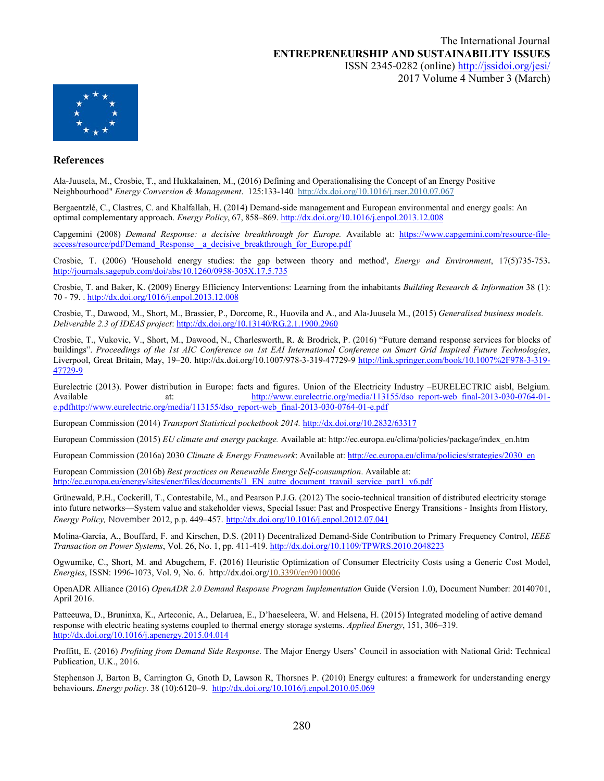

#### **References**

Ala-Juusela, M., Crosbie, T., and Hukkalainen, M., (2016) Defining and Operationalising the Concept of an Energy Positive Neighbourhood" *Energy Conversion & Management*. 125:133-140*.* <http://dx.doi.org/10.1016/j.rser.2010.07.067>

Bergaentzlé, C., Clastres, C. and Khalfallah, H. (2014) Demand-side management and European environmental and energy goals: An optimal complementary approach. *Energy Policy*, 67, 858–869[. http://dx.doi.org/10.1016/j.enpol.2013.12.008](http://dx.doi.org/10.1016/j.enpol.2013.12.008)

Capgemini (2008) *Demand Response: a decisive breakthrough for Europe.* Available at: [https://www.capgemini.com/resource-file](https://www.capgemini.com/resource-file-access/resource/pdf/Demand_Response__a_decisive_breakthrough_for_Europe.pdf)access/resource/pdf/Demand\_Response\_a\_decisive\_breakthrough\_for\_Europe.pdf

Crosbie, T. (2006) 'Household energy studies: the gap between theory and method', *Energy and Environment*, 17(5)735-753. <http://journals.sagepub.com/doi/abs/10.1260/0958-305X.17.5.735>

Crosbie, T. and Baker, K. (2009) Energy Efficiency Interventions: Learning from the inhabitants *Building Research & Information* 38 (1): 70 - 79. [. http://dx.doi.org/1016/j.enpol.2013.12.008](http://dx.doi.org/1016/j.enpol.2013.12.008)

Crosbie, T., Dawood, M., Short, M., Brassier, P., Dorcome, R., Huovila and A., and Ala-Juusela M., (2015) *Generalised business models. Deliverable 2.3 of IDEAS project*:<http://dx.doi.org/10.13140/RG.2.1.1900.2960>

Crosbie, T., Vukovic, V., Short, M., Dawood, N., Charlesworth, R. & Brodrick, P. (2016) "Future demand response services for blocks of buildings". *Proceedings of the 1st AIC Conference on 1st EAI International Conference on Smart Grid Inspired Future Technologies*, Liverpool, Great Britain, May, 19–20. http://dx.doi.org[/10.1007/978-3-319-47729-9](http://dx.doi.org/10.1007/978-3-319-47729-9) [http://link.springer.com/book/10.1007%2F978-3-319-](http://link.springer.com/book/10.1007%2F978-3-319-47729-9) [47729-9](http://link.springer.com/book/10.1007%2F978-3-319-47729-9)

Eurelectric (2013). Power distribution in Europe: facts and figures. Union of the Electricity Industry –EURELECTRIC aisbl, Belgium. Available at: [http://www.eurelectric.org/media/113155/dso\\_report-web\\_final-2013-030-0764-01](http://www.eurelectric.org/media/113155/dso_report-web_final-2013-030-0764-01-e.pdfhttp:/www.eurelectric.org/media/113155/dso_report-web_final-2013-030-0764-01-e.pdf) [e.pdfhttp://www.eurelectric.org/media/113155/dso\\_report-web\\_final-2013-030-0764-01-e.pdf](http://www.eurelectric.org/media/113155/dso_report-web_final-2013-030-0764-01-e.pdfhttp:/www.eurelectric.org/media/113155/dso_report-web_final-2013-030-0764-01-e.pdf)

European Commission (2014) *Transport Statistical pocketbook 2014.* <http://dx.doi.org/10.2832/63317>

European Commission (2015) *EU climate and energy package.* Available at: [http://ec.europa.eu/clima/policies/package/index\\_en.htm](http://ec.europa.eu/clima/policies/package/index_en.htm)

European Commission (2016a) 2030 *Climate & Energy Framework*: Available at[: http://ec.europa.eu/clima/policies/strategies/2030\\_en](http://ec.europa.eu/clima/policies/strategies/2030_en)

European Commission (2016b) *Best practices on Renewable Energy Self-consumption*. Available at: [http://ec.europa.eu/energy/sites/ener/files/documents/1\\_EN\\_autre\\_document\\_travail\\_service\\_part1\\_v6.pdf](http://ec.europa.eu/energy/sites/ener/files/documents/1_EN_autre_document_travail_service_part1_v6.pdf)

Grünewald, P.H., Cockerill, T., Contestabile, M., and Pearson P.J.G. (2012) The socio-technical transition of distributed electricity storage into future networks—System value and stakeholder views, Special Issue: Past and Prospective Energy Transitions - Insights from History*, Energy Policy,* November 2012, p.p. 449–457. <http://dx.doi.org/10.1016/j.enpol.2012.07.041>

Molina-García, A., Bouffard, F. and Kirschen, D.S. (2011) Decentralized Demand-Side Contribution to Primary Frequency Control, *IEEE Transaction on Power Systems*, Vol. 26, No. 1, pp. 411-419[. http://dx.doi.org/10.1109/TPWRS.2010.2048223](http://dx.doi.org/10.1109/TPWRS.2010.2048223)

Ogwumike, C., Short, M. and Abugchem, F. (2016) Heuristic Optimization of Consumer Electricity Costs using a Generic Cost Model, *Energies*, ISSN: 1996-1073, Vol. 9, No. 6. http://dx.doi.org[/10.3390/en9010006](http://dx.doi.org/10.3390/en9010006)

OpenADR Alliance (2016) *OpenADR 2.0 Demand Response Program Implementation* Guide (Version 1.0), Document Number: 20140701, April 2016.

Patteeuwa, D., Bruninxa, K., Arteconic, A., Delaruea, E., D'haeseleera, W. and Helsena, H. (2015) Integrated modeling of active demand response with electric heating systems coupled to thermal energy storage systems. *Applied Energy*, 151, 306–319. <http://dx.doi.org/10.1016/j.apenergy.2015.04.014>

Proffitt, E. (2016) *Profiting from Demand Side Response*. The Major Energy Users' Council in association with National Grid: Technical Publication, U.K., 2016.

Stephenson J, Barton B, Carrington G, Gnoth D, Lawson R, Thorsnes P. (2010) Energy cultures: a framework for understanding energy behaviours. *Energy policy*. 38 (10):6120–9. <http://dx.doi.org/10.1016/j.enpol.2010.05.069>